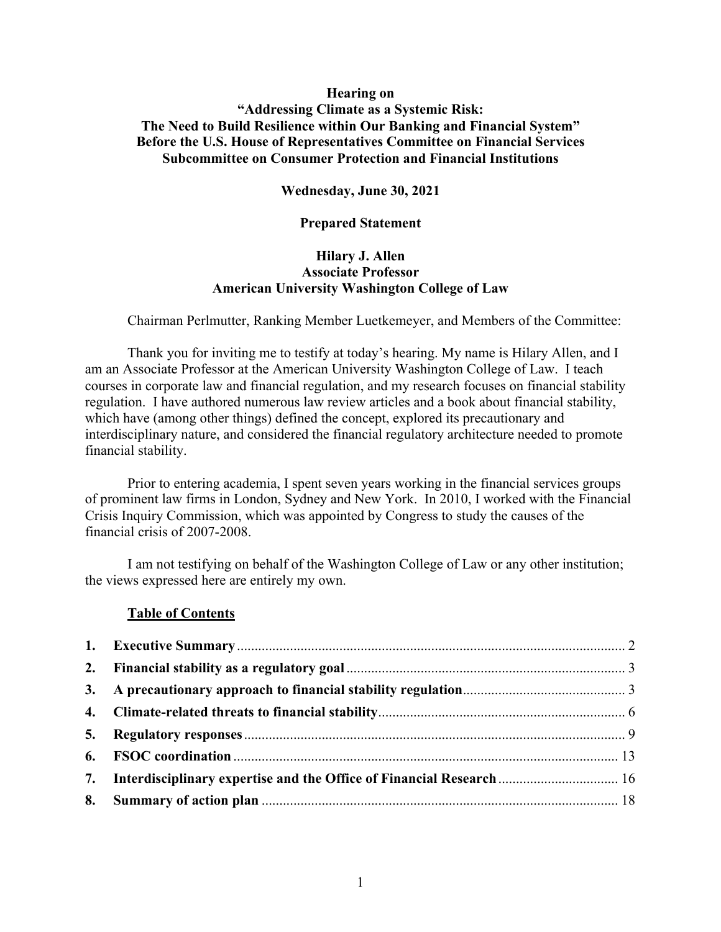## **Hearing on**

# **"Addressing Climate as a Systemic Risk: The Need to Build Resilience within Our Banking and Financial System" Before the U.S. House of Representatives Committee on Financial Services Subcommittee on Consumer Protection and Financial Institutions**

**Wednesday, June 30, 2021**

#### **Prepared Statement**

# **Hilary J. Allen Associate Professor American University Washington College of Law**

Chairman Perlmutter, Ranking Member Luetkemeyer, and Members of the Committee:

Thank you for inviting me to testify at today's hearing. My name is Hilary Allen, and I am an Associate Professor at the American University Washington College of Law. I teach courses in corporate law and financial regulation, and my research focuses on financial stability regulation. I have authored numerous law review articles and a book about financial stability, which have (among other things) defined the concept, explored its precautionary and interdisciplinary nature, and considered the financial regulatory architecture needed to promote financial stability.

Prior to entering academia, I spent seven years working in the financial services groups of prominent law firms in London, Sydney and New York. In 2010, I worked with the Financial Crisis Inquiry Commission, which was appointed by Congress to study the causes of the financial crisis of 2007-2008.

I am not testifying on behalf of the Washington College of Law or any other institution; the views expressed here are entirely my own.

#### **Table of Contents**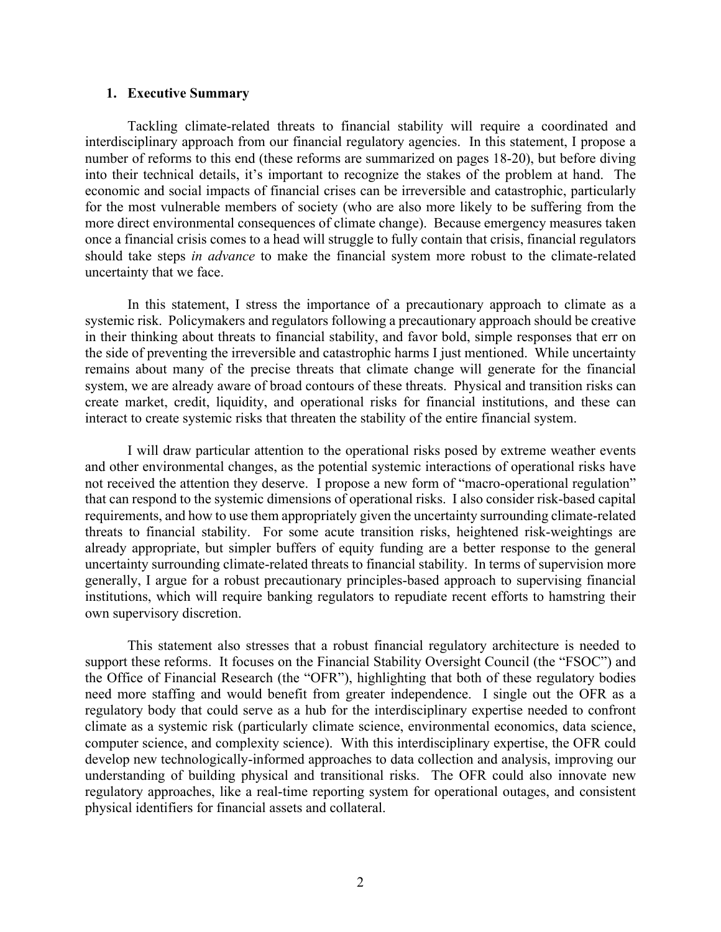#### **1. Executive Summary**

Tackling climate-related threats to financial stability will require a coordinated and interdisciplinary approach from our financial regulatory agencies. In this statement, I propose a number of reforms to this end (these reforms are summarized on pages 18-20), but before diving into their technical details, it's important to recognize the stakes of the problem at hand. The economic and social impacts of financial crises can be irreversible and catastrophic, particularly for the most vulnerable members of society (who are also more likely to be suffering from the more direct environmental consequences of climate change). Because emergency measures taken once a financial crisis comes to a head will struggle to fully contain that crisis, financial regulators should take steps *in advance* to make the financial system more robust to the climate-related uncertainty that we face.

In this statement, I stress the importance of a precautionary approach to climate as a systemic risk. Policymakers and regulators following a precautionary approach should be creative in their thinking about threats to financial stability, and favor bold, simple responses that err on the side of preventing the irreversible and catastrophic harms I just mentioned. While uncertainty remains about many of the precise threats that climate change will generate for the financial system, we are already aware of broad contours of these threats. Physical and transition risks can create market, credit, liquidity, and operational risks for financial institutions, and these can interact to create systemic risks that threaten the stability of the entire financial system.

I will draw particular attention to the operational risks posed by extreme weather events and other environmental changes, as the potential systemic interactions of operational risks have not received the attention they deserve. I propose a new form of "macro-operational regulation" that can respond to the systemic dimensions of operational risks. I also consider risk-based capital requirements, and how to use them appropriately given the uncertainty surrounding climate-related threats to financial stability. For some acute transition risks, heightened risk-weightings are already appropriate, but simpler buffers of equity funding are a better response to the general uncertainty surrounding climate-related threats to financial stability. In terms of supervision more generally, I argue for a robust precautionary principles-based approach to supervising financial institutions, which will require banking regulators to repudiate recent efforts to hamstring their own supervisory discretion.

This statement also stresses that a robust financial regulatory architecture is needed to support these reforms. It focuses on the Financial Stability Oversight Council (the "FSOC") and the Office of Financial Research (the "OFR"), highlighting that both of these regulatory bodies need more staffing and would benefit from greater independence. I single out the OFR as a regulatory body that could serve as a hub for the interdisciplinary expertise needed to confront climate as a systemic risk (particularly climate science, environmental economics, data science, computer science, and complexity science). With this interdisciplinary expertise, the OFR could develop new technologically-informed approaches to data collection and analysis, improving our understanding of building physical and transitional risks. The OFR could also innovate new regulatory approaches, like a real-time reporting system for operational outages, and consistent physical identifiers for financial assets and collateral.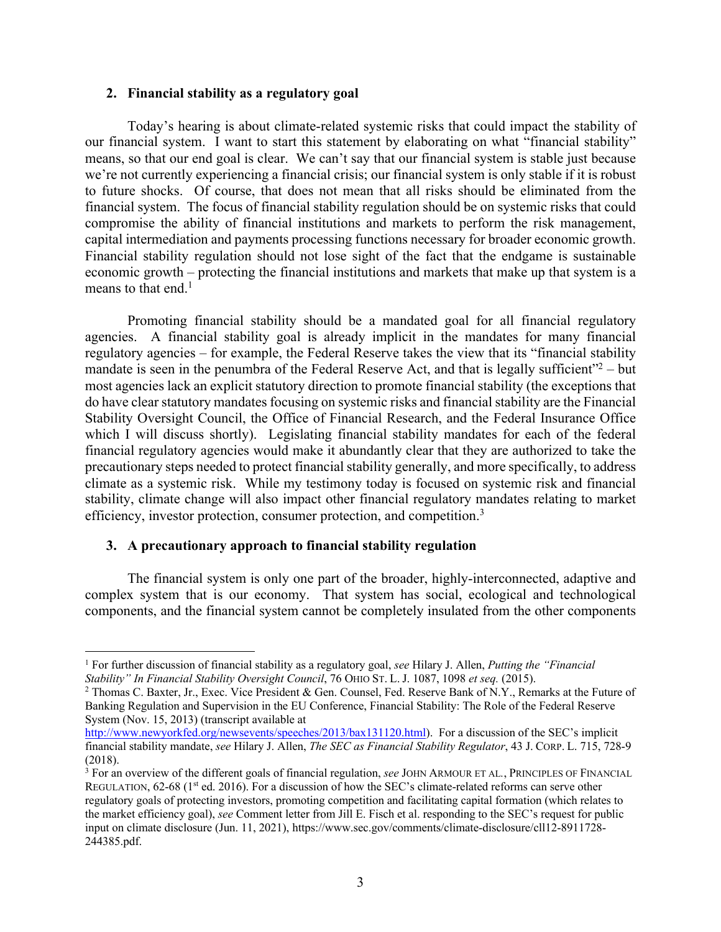#### **2. Financial stability as a regulatory goal**

Today's hearing is about climate-related systemic risks that could impact the stability of our financial system. I want to start this statement by elaborating on what "financial stability" means, so that our end goal is clear. We can't say that our financial system is stable just because we're not currently experiencing a financial crisis; our financial system is only stable if it is robust to future shocks. Of course, that does not mean that all risks should be eliminated from the financial system. The focus of financial stability regulation should be on systemic risks that could compromise the ability of financial institutions and markets to perform the risk management, capital intermediation and payments processing functions necessary for broader economic growth. Financial stability regulation should not lose sight of the fact that the endgame is sustainable economic growth – protecting the financial institutions and markets that make up that system is a means to that end.<sup>1</sup>

Promoting financial stability should be a mandated goal for all financial regulatory agencies. A financial stability goal is already implicit in the mandates for many financial regulatory agencies – for example, the Federal Reserve takes the view that its "financial stability mandate is seen in the penumbra of the Federal Reserve Act, and that is legally sufficient<sup> $2$ </sup> – but most agencies lack an explicit statutory direction to promote financial stability (the exceptions that do have clear statutory mandates focusing on systemic risks and financial stability are the Financial Stability Oversight Council, the Office of Financial Research, and the Federal Insurance Office which I will discuss shortly). Legislating financial stability mandates for each of the federal financial regulatory agencies would make it abundantly clear that they are authorized to take the precautionary steps needed to protect financial stability generally, and more specifically, to address climate as a systemic risk. While my testimony today is focused on systemic risk and financial stability, climate change will also impact other financial regulatory mandates relating to market efficiency, investor protection, consumer protection, and competition.<sup>3</sup>

#### **3. A precautionary approach to financial stability regulation**

The financial system is only one part of the broader, highly-interconnected, adaptive and complex system that is our economy. That system has social, ecological and technological components, and the financial system cannot be completely insulated from the other components

<sup>1</sup> For further discussion of financial stability as a regulatory goal, *see* Hilary J. Allen, *Putting the "Financial Stability" In Financial Stability Oversight Council*, 76 OHIO ST. L. J. 1087, 1098 *et seq.* (2015).

<sup>&</sup>lt;sup>2</sup> Thomas C. Baxter, Jr., Exec. Vice President & Gen. Counsel, Fed. Reserve Bank of N.Y., Remarks at the Future of Banking Regulation and Supervision in the EU Conference, Financial Stability: The Role of the Federal Reserve System (Nov. 15, 2013) (transcript available at

http://www.newyorkfed.org/newsevents/speeches/2013/bax131120.html). For a discussion of the SEC's implicit financial stability mandate, *see* Hilary J. Allen, *The SEC as Financial Stability Regulator*, 43 J. CORP. L. 715, 728-9 (2018).

<sup>3</sup> For an overview of the different goals of financial regulation, *see* JOHN ARMOUR ET AL*.*, PRINCIPLES OF FINANCIAL REGULATION,  $62-68$  (1<sup>st</sup> ed. 2016). For a discussion of how the SEC's climate-related reforms can serve other regulatory goals of protecting investors, promoting competition and facilitating capital formation (which relates to the market efficiency goal), *see* Comment letter from Jill E. Fisch et al. responding to the SEC's request for public input on climate disclosure (Jun. 11, 2021), https://www.sec.gov/comments/climate-disclosure/cll12-8911728- 244385.pdf.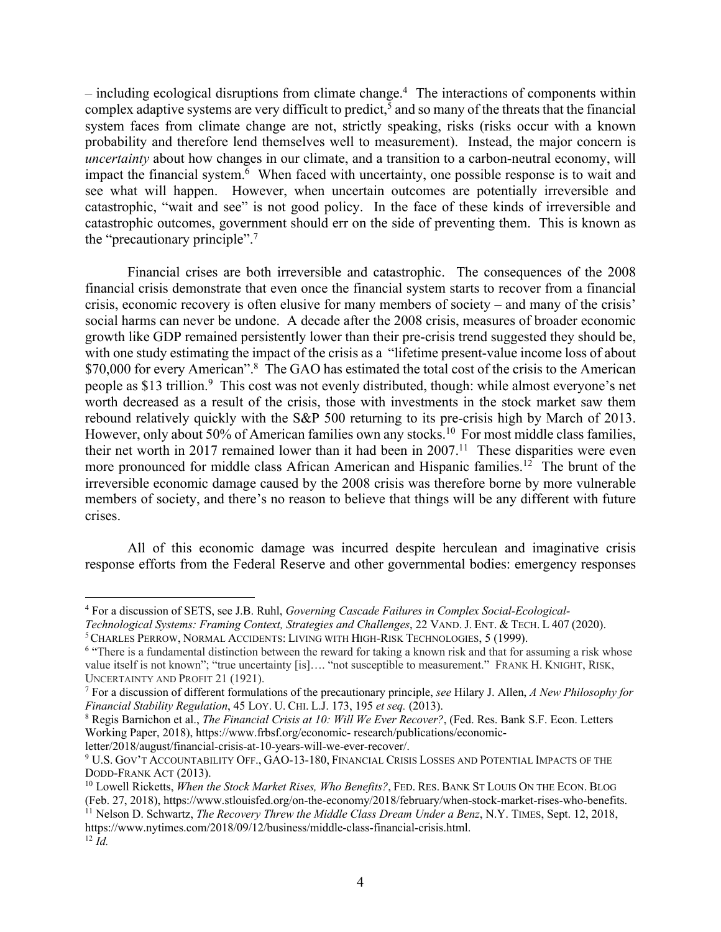– including ecological disruptions from climate change.4 The interactions of components within complex adaptive systems are very difficult to predict,<sup>5</sup> and so many of the threats that the financial system faces from climate change are not, strictly speaking, risks (risks occur with a known probability and therefore lend themselves well to measurement). Instead, the major concern is *uncertainty* about how changes in our climate, and a transition to a carbon-neutral economy, will impact the financial system.<sup>6</sup> When faced with uncertainty, one possible response is to wait and see what will happen. However, when uncertain outcomes are potentially irreversible and catastrophic, "wait and see" is not good policy. In the face of these kinds of irreversible and catastrophic outcomes, government should err on the side of preventing them. This is known as the "precautionary principle". 7

Financial crises are both irreversible and catastrophic. The consequences of the 2008 financial crisis demonstrate that even once the financial system starts to recover from a financial crisis, economic recovery is often elusive for many members of society – and many of the crisis' social harms can never be undone. A decade after the 2008 crisis, measures of broader economic growth like GDP remained persistently lower than their pre-crisis trend suggested they should be, with one study estimating the impact of the crisis as a "lifetime present-value income loss of about \$70,000 for every American".<sup>8</sup> The GAO has estimated the total cost of the crisis to the American people as \$13 trillion.<sup>9</sup> This cost was not evenly distributed, though: while almost everyone's net worth decreased as a result of the crisis, those with investments in the stock market saw them rebound relatively quickly with the S&P 500 returning to its pre-crisis high by March of 2013. However, only about 50% of American families own any stocks.<sup>10</sup> For most middle class families, their net worth in 2017 remained lower than it had been in  $2007$ .<sup>11</sup> These disparities were even more pronounced for middle class African American and Hispanic families.<sup>12</sup> The brunt of the irreversible economic damage caused by the 2008 crisis was therefore borne by more vulnerable members of society, and there's no reason to believe that things will be any different with future crises.

All of this economic damage was incurred despite herculean and imaginative crisis response efforts from the Federal Reserve and other governmental bodies: emergency responses

<sup>4</sup> For a discussion of SETS, see J.B. Ruhl, *Governing Cascade Failures in Complex Social-Ecological-*

*Technological Systems: Framing Context, Strategies and Challenges*, 22 VAND. J. ENT. & TECH. L 407 (2020).

<sup>5</sup>CHARLES PERROW, NORMAL ACCIDENTS: LIVING WITH HIGH-RISK TECHNOLOGIES, 5 (1999).

<sup>&</sup>lt;sup>6</sup> "There is a fundamental distinction between the reward for taking a known risk and that for assuming a risk whose value itself is not known"; "true uncertainty [is]…. "not susceptible to measurement." FRANK H. KNIGHT, RISK, UNCERTAINTY AND PROFIT 21 (1921).

<sup>7</sup> For a discussion of different formulations of the precautionary principle, *see* Hilary J. Allen, *A New Philosophy for Financial Stability Regulation*, 45 LOY. U. CHI. L.J. 173, 195 *et seq.* (2013).

<sup>8</sup> Regis Barnichon et al., *The Financial Crisis at 10: Will We Ever Recover?*, (Fed. Res. Bank S.F. Econ. Letters Working Paper, 2018), https://www.frbsf.org/economic- research/publications/economic-

letter/2018/august/financial-crisis-at-10-years-will-we-ever-recover/.

<sup>9</sup> U.S. GOV'T ACCOUNTABILITY OFF., GAO-13-180, FINANCIAL CRISIS LOSSES AND POTENTIAL IMPACTS OF THE DODD-FRANK ACT (2013).

<sup>10</sup> Lowell Ricketts, *When the Stock Market Rises, Who Benefits?*, FED. RES. BANK ST LOUIS ON THE ECON. BLOG (Feb. 27, 2018), https://www.stlouisfed.org/on-the-economy/2018/february/when-stock-market-rises-who-benefits.

<sup>&</sup>lt;sup>11</sup> Nelson D. Schwartz, *The Recovery Threw the Middle Class Dream Under a Benz*, N.Y. TIMES, Sept. 12, 2018, https://www.nytimes.com/2018/09/12/business/middle-class-financial-crisis.html. <sup>12</sup> *Id.*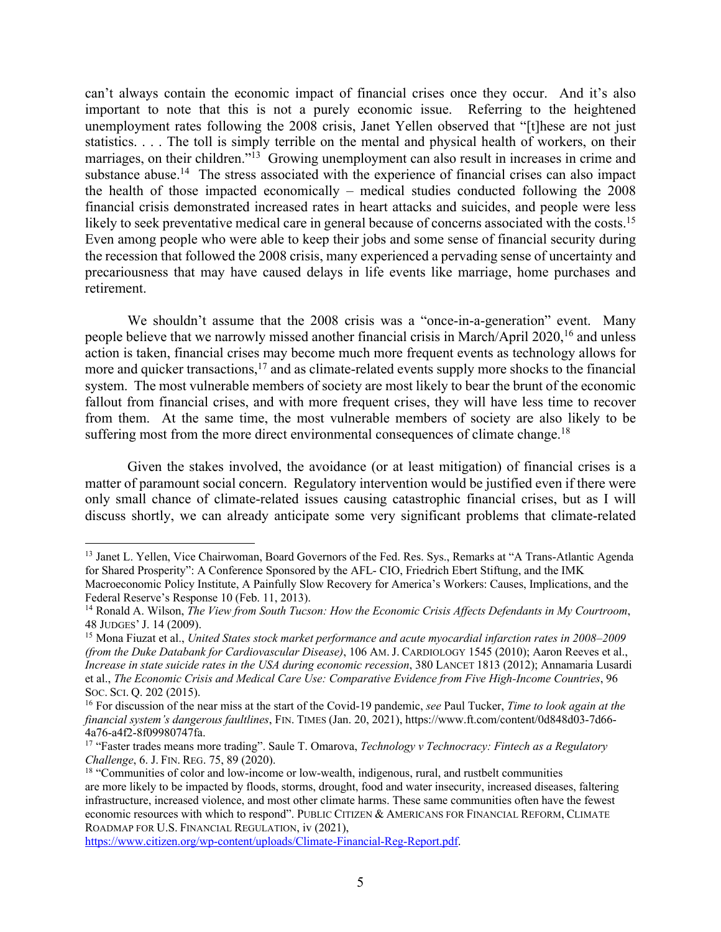can't always contain the economic impact of financial crises once they occur. And it's also important to note that this is not a purely economic issue. Referring to the heightened unemployment rates following the 2008 crisis, Janet Yellen observed that "[t]hese are not just statistics. . . . The toll is simply terrible on the mental and physical health of workers, on their marriages, on their children."<sup>13</sup> Growing unemployment can also result in increases in crime and substance abuse.<sup>14</sup> The stress associated with the experience of financial crises can also impact the health of those impacted economically – medical studies conducted following the 2008 financial crisis demonstrated increased rates in heart attacks and suicides, and people were less likely to seek preventative medical care in general because of concerns associated with the costs.<sup>15</sup> Even among people who were able to keep their jobs and some sense of financial security during the recession that followed the 2008 crisis, many experienced a pervading sense of uncertainty and precariousness that may have caused delays in life events like marriage, home purchases and retirement.

We shouldn't assume that the 2008 crisis was a "once-in-a-generation" event. Many people believe that we narrowly missed another financial crisis in March/April 2020,<sup>16</sup> and unless action is taken, financial crises may become much more frequent events as technology allows for more and quicker transactions, $17$  and as climate-related events supply more shocks to the financial system. The most vulnerable members of society are most likely to bear the brunt of the economic fallout from financial crises, and with more frequent crises, they will have less time to recover from them. At the same time, the most vulnerable members of society are also likely to be suffering most from the more direct environmental consequences of climate change.<sup>18</sup>

Given the stakes involved, the avoidance (or at least mitigation) of financial crises is a matter of paramount social concern. Regulatory intervention would be justified even if there were only small chance of climate-related issues causing catastrophic financial crises, but as I will discuss shortly, we can already anticipate some very significant problems that climate-related

<sup>&</sup>lt;sup>13</sup> Janet L. Yellen, Vice Chairwoman, Board Governors of the Fed. Res. Sys., Remarks at "A Trans-Atlantic Agenda for Shared Prosperity": A Conference Sponsored by the AFL- CIO, Friedrich Ebert Stiftung, and the IMK

Macroeconomic Policy Institute, A Painfully Slow Recovery for America's Workers: Causes, Implications, and the Federal Reserve's Response 10 (Feb. 11, 2013).

<sup>14</sup> Ronald A. Wilson, *The View from South Tucson: How the Economic Crisis Affects Defendants in My Courtroom*, 48 JUDGES' J. 14 (2009).

<sup>15</sup> Mona Fiuzat et al., *United States stock market performance and acute myocardial infarction rates in 2008–2009 (from the Duke Databank for Cardiovascular Disease)*, 106 AM. J. CARDIOLOGY 1545 (2010); Aaron Reeves et al., *Increase in state suicide rates in the USA during economic recession*, 380 LANCET 1813 (2012); Annamaria Lusardi et al., *The Economic Crisis and Medical Care Use: Comparative Evidence from Five High-Income Countries*, 96 SOC. SCI. Q. 202 (2015).

<sup>16</sup> For discussion of the near miss at the start of the Covid-19 pandemic, *see* Paul Tucker, *Time to look again at the financial system's dangerous faultlines*, FIN. TIMES (Jan. 20, 2021), https://www.ft.com/content/0d848d03-7d66- 4a76-a4f2-8f09980747fa.

<sup>17</sup> "Faster trades means more trading". Saule T. Omarova, *Technology v Technocracy: Fintech as a Regulatory Challenge*, 6. J. FIN. REG. 75, 89 (2020).

<sup>&</sup>lt;sup>18</sup> "Communities of color and low-income or low-wealth, indigenous, rural, and rustbelt communities are more likely to be impacted by floods, storms, drought, food and water insecurity, increased diseases, faltering infrastructure, increased violence, and most other climate harms. These same communities often have the fewest economic resources with which to respond". PUBLIC CITIZEN & AMERICANS FOR FINANCIAL REFORM, CLIMATE ROADMAP FOR U.S. FINANCIAL REGULATION, iv (2021),

https://www.citizen.org/wp-content/uploads/Climate-Financial-Reg-Report.pdf.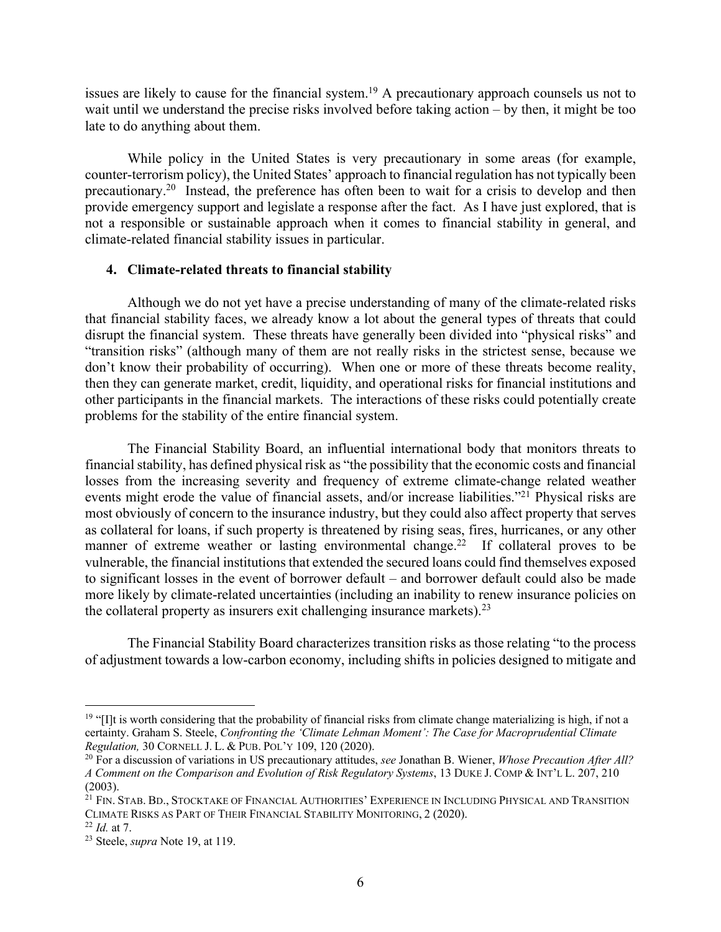issues are likely to cause for the financial system.<sup>19</sup> A precautionary approach counsels us not to wait until we understand the precise risks involved before taking action – by then, it might be too late to do anything about them.

While policy in the United States is very precautionary in some areas (for example, counter-terrorism policy), the United States' approach to financial regulation has not typically been precautionary.<sup>20</sup> Instead, the preference has often been to wait for a crisis to develop and then provide emergency support and legislate a response after the fact. As I have just explored, that is not a responsible or sustainable approach when it comes to financial stability in general, and climate-related financial stability issues in particular.

#### **4. Climate-related threats to financial stability**

Although we do not yet have a precise understanding of many of the climate-related risks that financial stability faces, we already know a lot about the general types of threats that could disrupt the financial system. These threats have generally been divided into "physical risks" and "transition risks" (although many of them are not really risks in the strictest sense, because we don't know their probability of occurring). When one or more of these threats become reality, then they can generate market, credit, liquidity, and operational risks for financial institutions and other participants in the financial markets. The interactions of these risks could potentially create problems for the stability of the entire financial system.

The Financial Stability Board, an influential international body that monitors threats to financial stability, has defined physical risk as "the possibility that the economic costs and financial losses from the increasing severity and frequency of extreme climate-change related weather events might erode the value of financial assets, and/or increase liabilities."<sup>21</sup> Physical risks are most obviously of concern to the insurance industry, but they could also affect property that serves as collateral for loans, if such property is threatened by rising seas, fires, hurricanes, or any other manner of extreme weather or lasting environmental change.<sup>22</sup> If collateral proves to be vulnerable, the financial institutions that extended the secured loans could find themselves exposed to significant losses in the event of borrower default – and borrower default could also be made more likely by climate-related uncertainties (including an inability to renew insurance policies on the collateral property as insurers exit challenging insurance markets).  $2<sup>3</sup>$ 

The Financial Stability Board characterizes transition risks as those relating "to the process of adjustment towards a low-carbon economy, including shifts in policies designed to mitigate and

 $19$  "[I]t is worth considering that the probability of financial risks from climate change materializing is high, if not a certainty. Graham S. Steele, *Confronting the 'Climate Lehman Moment': The Case for Macroprudential Climate Regulation,* 30 CORNELL J. L. & PUB. POL'Y 109, 120 (2020).

<sup>20</sup> For a discussion of variations in US precautionary attitudes, *see* Jonathan B. Wiener, *Whose Precaution After All? A Comment on the Comparison and Evolution of Risk Regulatory Systems*, 13 DUKE J. COMP & INT'L L. 207, 210 (2003).

<sup>&</sup>lt;sup>21</sup> FIN. STAB. BD., STOCKTAKE OF FINANCIAL AUTHORITIES' EXPERIENCE IN INCLUDING PHYSICAL AND TRANSITION CLIMATE RISKS AS PART OF THEIR FINANCIAL STABILITY MONITORING, 2 (2020).

<sup>22</sup> *Id.* at 7.

<sup>23</sup> Steele, *supra* Note 19, at 119.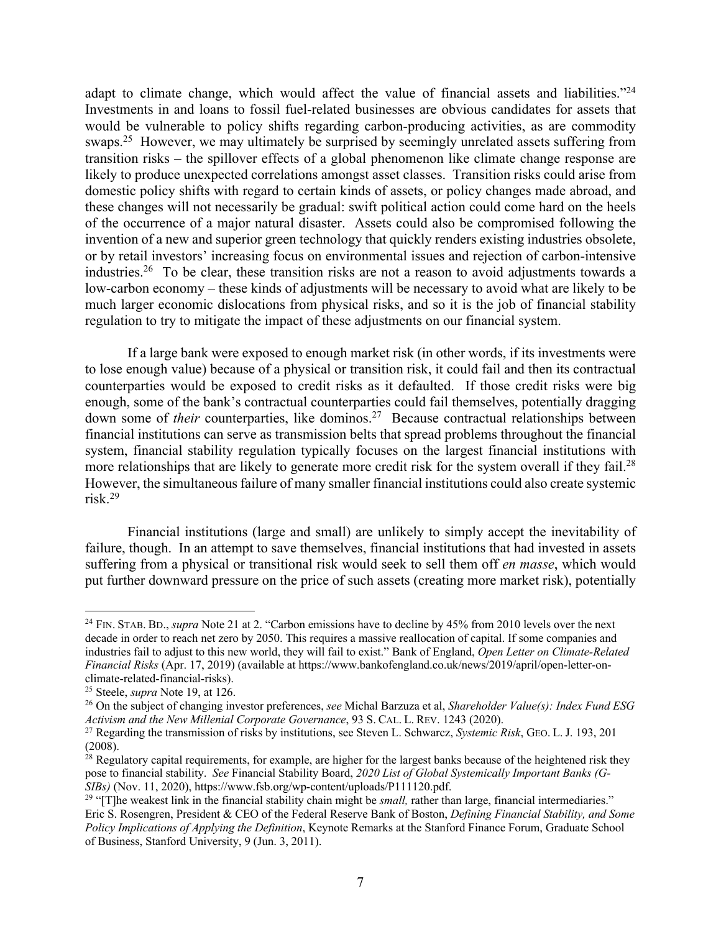adapt to climate change, which would affect the value of financial assets and liabilities."<sup>24</sup> Investments in and loans to fossil fuel-related businesses are obvious candidates for assets that would be vulnerable to policy shifts regarding carbon-producing activities, as are commodity swaps.<sup>25</sup> However, we may ultimately be surprised by seemingly unrelated assets suffering from transition risks – the spillover effects of a global phenomenon like climate change response are likely to produce unexpected correlations amongst asset classes. Transition risks could arise from domestic policy shifts with regard to certain kinds of assets, or policy changes made abroad, and these changes will not necessarily be gradual: swift political action could come hard on the heels of the occurrence of a major natural disaster. Assets could also be compromised following the invention of a new and superior green technology that quickly renders existing industries obsolete, or by retail investors' increasing focus on environmental issues and rejection of carbon-intensive industries.<sup>26</sup> To be clear, these transition risks are not a reason to avoid adjustments towards a low-carbon economy – these kinds of adjustments will be necessary to avoid what are likely to be much larger economic dislocations from physical risks, and so it is the job of financial stability regulation to try to mitigate the impact of these adjustments on our financial system.

If a large bank were exposed to enough market risk (in other words, if its investments were to lose enough value) because of a physical or transition risk, it could fail and then its contractual counterparties would be exposed to credit risks as it defaulted. If those credit risks were big enough, some of the bank's contractual counterparties could fail themselves, potentially dragging down some of *their* counterparties, like dominos. 27 Because contractual relationships between financial institutions can serve as transmission belts that spread problems throughout the financial system, financial stability regulation typically focuses on the largest financial institutions with more relationships that are likely to generate more credit risk for the system overall if they fail.<sup>28</sup> However, the simultaneous failure of many smaller financial institutions could also create systemic risk. 29

Financial institutions (large and small) are unlikely to simply accept the inevitability of failure, though. In an attempt to save themselves, financial institutions that had invested in assets suffering from a physical or transitional risk would seek to sell them off *en masse*, which would put further downward pressure on the price of such assets (creating more market risk), potentially

<sup>&</sup>lt;sup>24</sup> FIN. STAB. BD., *supra* Note 21 at 2. "Carbon emissions have to decline by 45% from 2010 levels over the next decade in order to reach net zero by 2050. This requires a massive reallocation of capital. If some companies and industries fail to adjust to this new world, they will fail to exist." Bank of England, *Open Letter on Climate-Related Financial Risks* (Apr. 17, 2019) (available at https://www.bankofengland.co.uk/news/2019/april/open-letter-onclimate-related-financial-risks).

<sup>25</sup> Steele, *supra* Note 19, at 126.

<sup>26</sup> On the subject of changing investor preferences, *see* Michal Barzuza et al, *Shareholder Value(s): Index Fund ESG Activism and the New Millenial Corporate Governance*, 93 S. CAL. L. REV. 1243 (2020).

<sup>&</sup>lt;sup>27</sup> Regarding the transmission of risks by institutions, see Steven L. Schwarcz, *Systemic Risk*, GEO. L. J. 193, 201 (2008).

<sup>&</sup>lt;sup>28</sup> Regulatory capital requirements, for example, are higher for the largest banks because of the heightened risk they pose to financial stability. *See* Financial Stability Board, *2020 List of Global Systemically Important Banks (G-SIBs)* (Nov. 11, 2020), https://www.fsb.org/wp-content/uploads/P111120.pdf.

<sup>&</sup>lt;sup>29</sup> "[T]he weakest link in the financial stability chain might be *small*, rather than large, financial intermediaries." Eric S. Rosengren, President & CEO of the Federal Reserve Bank of Boston, *Defining Financial Stability, and Some Policy Implications of Applying the Definition*, Keynote Remarks at the Stanford Finance Forum, Graduate School of Business, Stanford University, 9 (Jun. 3, 2011).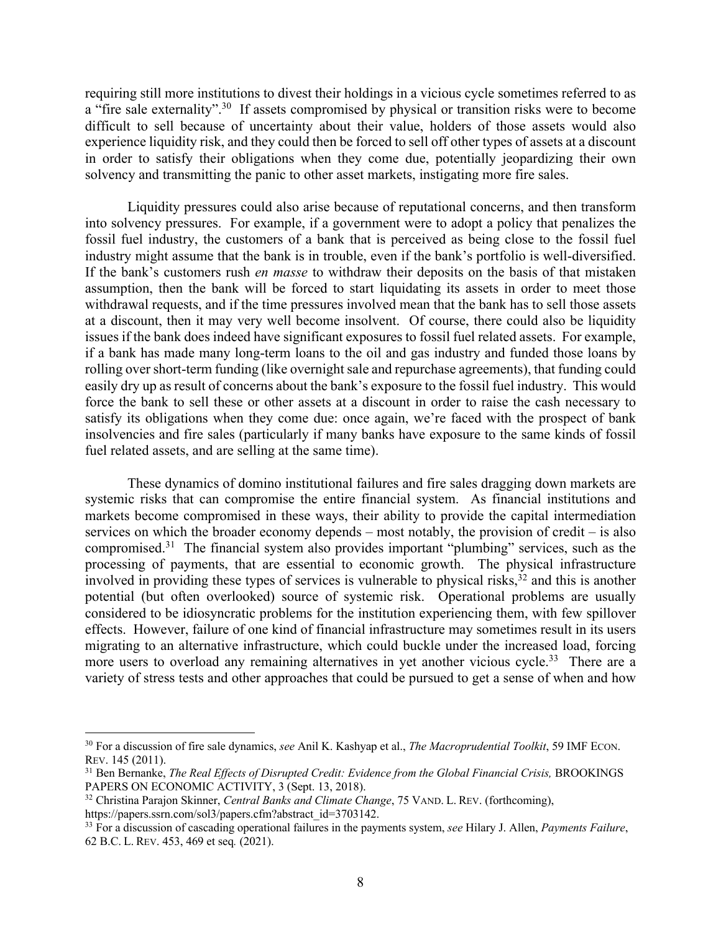requiring still more institutions to divest their holdings in a vicious cycle sometimes referred to as a "fire sale externality".<sup>30</sup> If assets compromised by physical or transition risks were to become difficult to sell because of uncertainty about their value, holders of those assets would also experience liquidity risk, and they could then be forced to sell off other types of assets at a discount in order to satisfy their obligations when they come due, potentially jeopardizing their own solvency and transmitting the panic to other asset markets, instigating more fire sales.

Liquidity pressures could also arise because of reputational concerns, and then transform into solvency pressures. For example, if a government were to adopt a policy that penalizes the fossil fuel industry, the customers of a bank that is perceived as being close to the fossil fuel industry might assume that the bank is in trouble, even if the bank's portfolio is well-diversified. If the bank's customers rush *en masse* to withdraw their deposits on the basis of that mistaken assumption, then the bank will be forced to start liquidating its assets in order to meet those withdrawal requests, and if the time pressures involved mean that the bank has to sell those assets at a discount, then it may very well become insolvent. Of course, there could also be liquidity issues if the bank does indeed have significant exposures to fossil fuel related assets. For example, if a bank has made many long-term loans to the oil and gas industry and funded those loans by rolling over short-term funding (like overnight sale and repurchase agreements), that funding could easily dry up as result of concerns about the bank's exposure to the fossil fuel industry. This would force the bank to sell these or other assets at a discount in order to raise the cash necessary to satisfy its obligations when they come due: once again, we're faced with the prospect of bank insolvencies and fire sales (particularly if many banks have exposure to the same kinds of fossil fuel related assets, and are selling at the same time).

These dynamics of domino institutional failures and fire sales dragging down markets are systemic risks that can compromise the entire financial system. As financial institutions and markets become compromised in these ways, their ability to provide the capital intermediation services on which the broader economy depends – most notably, the provision of credit – is also compromised.31 The financial system also provides important "plumbing" services, such as the processing of payments, that are essential to economic growth. The physical infrastructure involved in providing these types of services is vulnerable to physical risks, <sup>32</sup> and this is another potential (but often overlooked) source of systemic risk. Operational problems are usually considered to be idiosyncratic problems for the institution experiencing them, with few spillover effects. However, failure of one kind of financial infrastructure may sometimes result in its users migrating to an alternative infrastructure, which could buckle under the increased load, forcing more users to overload any remaining alternatives in yet another vicious cycle.<sup>33</sup> There are a variety of stress tests and other approaches that could be pursued to get a sense of when and how

https://papers.ssrn.com/sol3/papers.cfm?abstract\_id=3703142.

<sup>30</sup> For a discussion of fire sale dynamics, *see* Anil K. Kashyap et al., *The Macroprudential Toolkit*, 59 IMF ECON. REV. 145 (2011).

<sup>&</sup>lt;sup>31</sup> Ben Bernanke, *The Real Effects of Disrupted Credit: Evidence from the Global Financial Crisis, BROOKINGS* PAPERS ON ECONOMIC ACTIVITY, 3 (Sept. 13, 2018).

<sup>32</sup> Christina Parajon Skinner, *Central Banks and Climate Change*, 75 VAND. L. REV. (forthcoming),

<sup>33</sup> For a discussion of cascading operational failures in the payments system, *see* Hilary J. Allen, *Payments Failure*, 62 B.C. L. REV. 453, 469 et seq*.* (2021).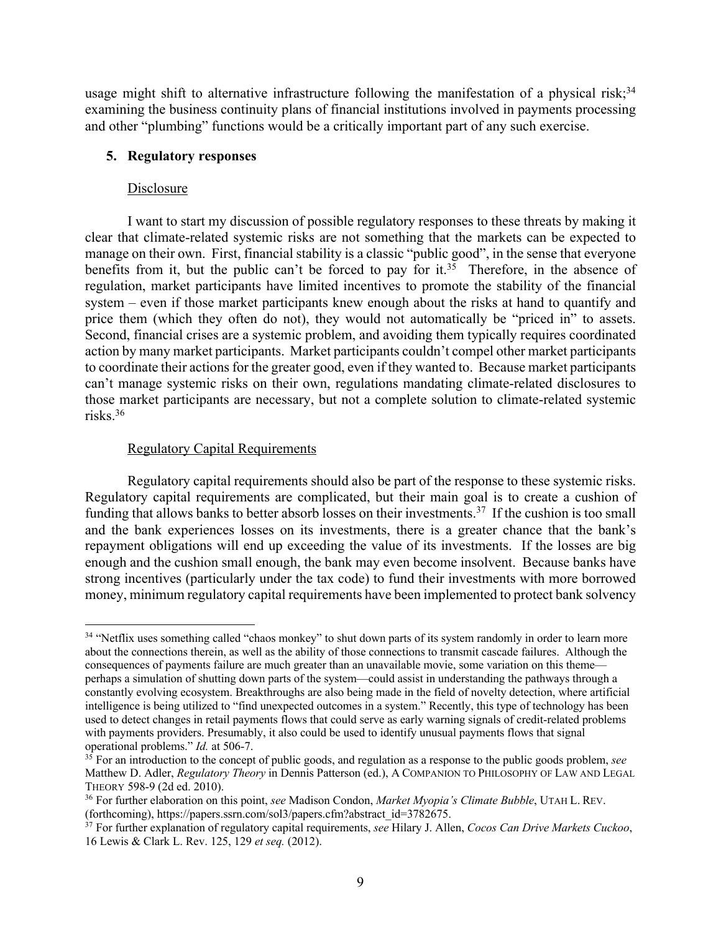usage might shift to alternative infrastructure following the manifestation of a physical risk;<sup>34</sup> examining the business continuity plans of financial institutions involved in payments processing and other "plumbing" functions would be a critically important part of any such exercise.

### **5. Regulatory responses**

#### Disclosure

I want to start my discussion of possible regulatory responses to these threats by making it clear that climate-related systemic risks are not something that the markets can be expected to manage on their own. First, financial stability is a classic "public good", in the sense that everyone benefits from it, but the public can't be forced to pay for it.<sup>35</sup> Therefore, in the absence of regulation, market participants have limited incentives to promote the stability of the financial system – even if those market participants knew enough about the risks at hand to quantify and price them (which they often do not), they would not automatically be "priced in" to assets. Second, financial crises are a systemic problem, and avoiding them typically requires coordinated action by many market participants. Market participants couldn't compel other market participants to coordinate their actions for the greater good, even if they wanted to. Because market participants can't manage systemic risks on their own, regulations mandating climate-related disclosures to those market participants are necessary, but not a complete solution to climate-related systemic risks. 36

### Regulatory Capital Requirements

Regulatory capital requirements should also be part of the response to these systemic risks. Regulatory capital requirements are complicated, but their main goal is to create a cushion of funding that allows banks to better absorb losses on their investments.<sup>37</sup> If the cushion is too small and the bank experiences losses on its investments, there is a greater chance that the bank's repayment obligations will end up exceeding the value of its investments. If the losses are big enough and the cushion small enough, the bank may even become insolvent. Because banks have strong incentives (particularly under the tax code) to fund their investments with more borrowed money, minimum regulatory capital requirements have been implemented to protect bank solvency

<sup>&</sup>lt;sup>34</sup> "Netflix uses something called "chaos monkey" to shut down parts of its system randomly in order to learn more about the connections therein, as well as the ability of those connections to transmit cascade failures. Although the consequences of payments failure are much greater than an unavailable movie, some variation on this theme perhaps a simulation of shutting down parts of the system—could assist in understanding the pathways through a constantly evolving ecosystem. Breakthroughs are also being made in the field of novelty detection, where artificial intelligence is being utilized to "find unexpected outcomes in a system." Recently, this type of technology has been used to detect changes in retail payments flows that could serve as early warning signals of credit-related problems with payments providers. Presumably, it also could be used to identify unusual payments flows that signal operational problems." *Id.* at 506-7.

<sup>35</sup> For an introduction to the concept of public goods, and regulation as a response to the public goods problem, *see*  Matthew D. Adler, *Regulatory Theory* in Dennis Patterson (ed.), A COMPANION TO PHILOSOPHY OF LAW AND LEGAL THEORY 598-9 (2d ed. 2010).

<sup>36</sup> For further elaboration on this point, *see* Madison Condon, *Market Myopia's Climate Bubble*, UTAH L. REV. (forthcoming), https://papers.ssrn.com/sol3/papers.cfm?abstract\_id=3782675.

<sup>37</sup> For further explanation of regulatory capital requirements, *see* Hilary J. Allen, *Cocos Can Drive Markets Cuckoo*, 16 Lewis & Clark L. Rev. 125, 129 *et seq.* (2012).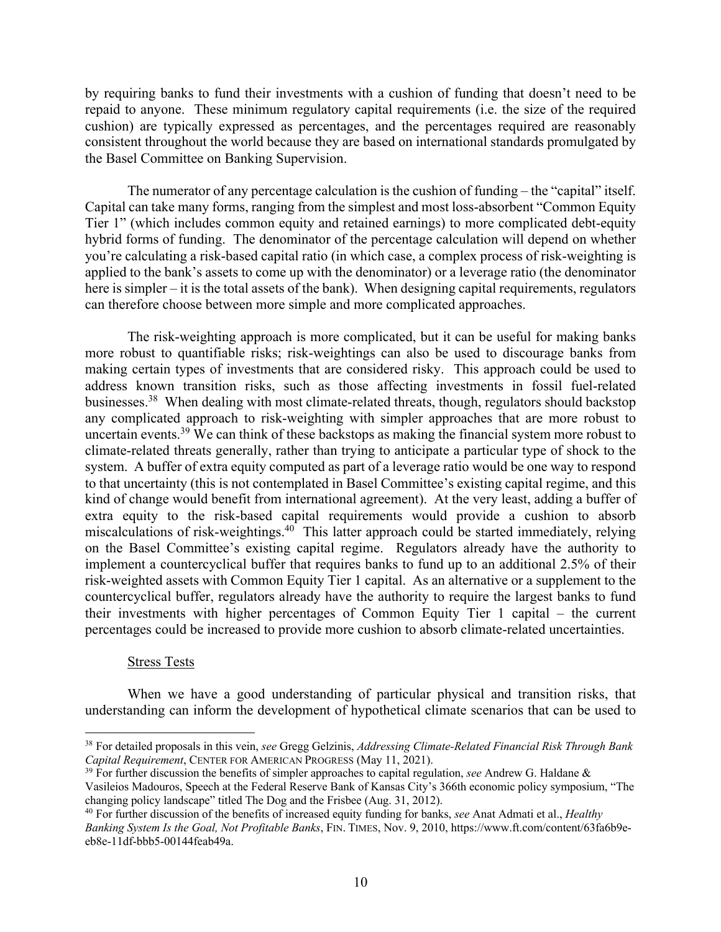by requiring banks to fund their investments with a cushion of funding that doesn't need to be repaid to anyone. These minimum regulatory capital requirements (i.e. the size of the required cushion) are typically expressed as percentages, and the percentages required are reasonably consistent throughout the world because they are based on international standards promulgated by the Basel Committee on Banking Supervision.

The numerator of any percentage calculation is the cushion of funding – the "capital" itself. Capital can take many forms, ranging from the simplest and most loss-absorbent "Common Equity Tier 1" (which includes common equity and retained earnings) to more complicated debt-equity hybrid forms of funding. The denominator of the percentage calculation will depend on whether you're calculating a risk-based capital ratio (in which case, a complex process of risk-weighting is applied to the bank's assets to come up with the denominator) or a leverage ratio (the denominator here is simpler – it is the total assets of the bank). When designing capital requirements, regulators can therefore choose between more simple and more complicated approaches.

The risk-weighting approach is more complicated, but it can be useful for making banks more robust to quantifiable risks; risk-weightings can also be used to discourage banks from making certain types of investments that are considered risky. This approach could be used to address known transition risks, such as those affecting investments in fossil fuel-related businesses.<sup>38</sup> When dealing with most climate-related threats, though, regulators should backstop any complicated approach to risk-weighting with simpler approaches that are more robust to uncertain events.<sup>39</sup> We can think of these backstops as making the financial system more robust to climate-related threats generally, rather than trying to anticipate a particular type of shock to the system. A buffer of extra equity computed as part of a leverage ratio would be one way to respond to that uncertainty (this is not contemplated in Basel Committee's existing capital regime, and this kind of change would benefit from international agreement). At the very least, adding a buffer of extra equity to the risk-based capital requirements would provide a cushion to absorb miscalculations of risk-weightings.<sup>40</sup> This latter approach could be started immediately, relying on the Basel Committee's existing capital regime. Regulators already have the authority to implement a countercyclical buffer that requires banks to fund up to an additional 2.5% of their risk-weighted assets with Common Equity Tier 1 capital. As an alternative or a supplement to the countercyclical buffer, regulators already have the authority to require the largest banks to fund their investments with higher percentages of Common Equity Tier 1 capital – the current percentages could be increased to provide more cushion to absorb climate-related uncertainties.

#### Stress Tests

When we have a good understanding of particular physical and transition risks, that understanding can inform the development of hypothetical climate scenarios that can be used to

<sup>38</sup> For detailed proposals in this vein, *see* Gregg Gelzinis, *Addressing Climate-Related Financial Risk Through Bank Capital Requirement*, CENTER FOR AMERICAN PROGRESS (May 11, 2021).

<sup>39</sup> For further discussion the benefits of simpler approaches to capital regulation, *see* Andrew G. Haldane &

Vasileios Madouros, Speech at the Federal Reserve Bank of Kansas City's 366th economic policy symposium, "The changing policy landscape" titled The Dog and the Frisbee (Aug. 31, 2012).

<sup>40</sup> For further discussion of the benefits of increased equity funding for banks, *see* Anat Admati et al., *Healthy Banking System Is the Goal, Not Profitable Banks*, FIN. TIMES, Nov. 9, 2010, https://www.ft.com/content/63fa6b9eeb8e-11df-bbb5-00144feab49a.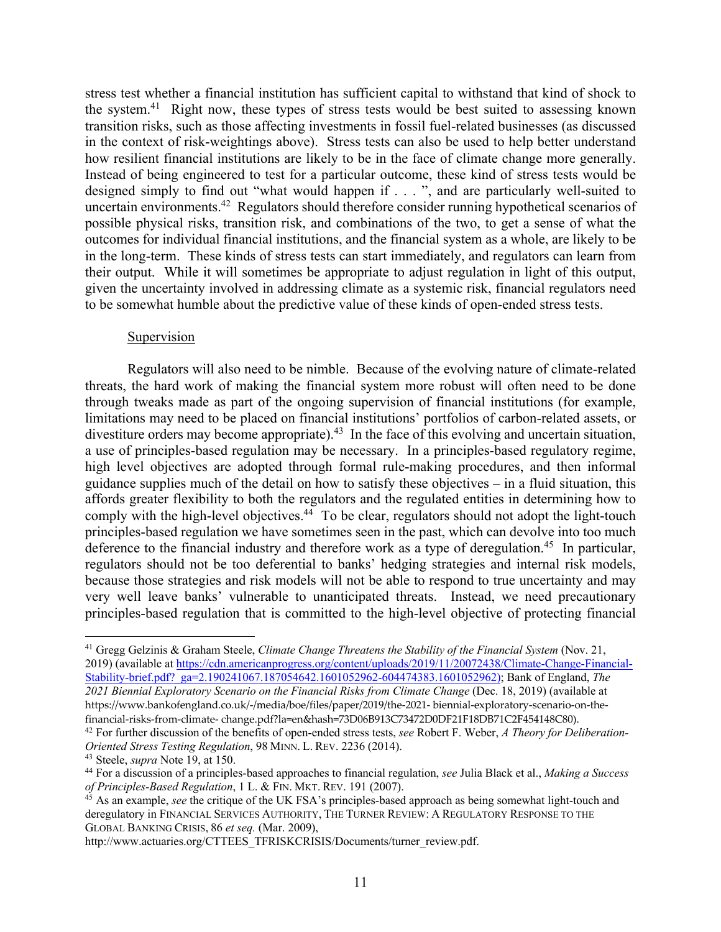stress test whether a financial institution has sufficient capital to withstand that kind of shock to the system.<sup>41</sup> Right now, these types of stress tests would be best suited to assessing known transition risks, such as those affecting investments in fossil fuel-related businesses (as discussed in the context of risk-weightings above). Stress tests can also be used to help better understand how resilient financial institutions are likely to be in the face of climate change more generally. Instead of being engineered to test for a particular outcome, these kind of stress tests would be designed simply to find out "what would happen if . . . ", and are particularly well-suited to uncertain environments.<sup>42</sup> Regulators should therefore consider running hypothetical scenarios of possible physical risks, transition risk, and combinations of the two, to get a sense of what the outcomes for individual financial institutions, and the financial system as a whole, are likely to be in the long-term. These kinds of stress tests can start immediately, and regulators can learn from their output. While it will sometimes be appropriate to adjust regulation in light of this output, given the uncertainty involved in addressing climate as a systemic risk, financial regulators need to be somewhat humble about the predictive value of these kinds of open-ended stress tests.

#### Supervision

Regulators will also need to be nimble. Because of the evolving nature of climate-related threats, the hard work of making the financial system more robust will often need to be done through tweaks made as part of the ongoing supervision of financial institutions (for example, limitations may need to be placed on financial institutions' portfolios of carbon-related assets, or divestiture orders may become appropriate).<sup>43</sup> In the face of this evolving and uncertain situation, a use of principles-based regulation may be necessary. In a principles-based regulatory regime, high level objectives are adopted through formal rule-making procedures, and then informal guidance supplies much of the detail on how to satisfy these objectives – in a fluid situation, this affords greater flexibility to both the regulators and the regulated entities in determining how to comply with the high-level objectives. $44$  To be clear, regulators should not adopt the light-touch principles-based regulation we have sometimes seen in the past, which can devolve into too much deference to the financial industry and therefore work as a type of deregulation.<sup>45</sup> In particular, regulators should not be too deferential to banks' hedging strategies and internal risk models, because those strategies and risk models will not be able to respond to true uncertainty and may very well leave banks' vulnerable to unanticipated threats. Instead, we need precautionary principles-based regulation that is committed to the high-level objective of protecting financial

financial-risks-from-climate- change.pdf?la=en&hash=73D06B913C73472D0DF21F18DB71C2F454148C80).

<sup>41</sup> Gregg Gelzinis & Graham Steele, *Climate Change Threatens the Stability of the Financial System* (Nov. 21, 2019) (available at https://cdn.americanprogress.org/content/uploads/2019/11/20072438/Climate-Change-Financial-Stability-brief.pdf?\_ga=2.190241067.187054642.1601052962-604474383.1601052962); Bank of England, *The 2021 Biennial Exploratory Scenario on the Financial Risks from Climate Change* (Dec. 18, 2019) (available at https://www.bankofengland.co.uk/-/media/boe/files/paper/2019/the-2021- biennial-exploratory-scenario-on-the-

<sup>42</sup> For further discussion of the benefits of open-ended stress tests, *see* Robert F. Weber, *A Theory for Deliberation-Oriented Stress Testing Regulation*, 98 MINN. L. REV. 2236 (2014).

<sup>43</sup> Steele, *supra* Note 19, at 150.

<sup>44</sup> For a discussion of a principles-based approaches to financial regulation, *see* Julia Black et al., *Making a Success of Principles-Based Regulation*, 1 L. & FIN. MKT. REV. 191 (2007).

<sup>45</sup> As an example, *see* the critique of the UK FSA's principles-based approach as being somewhat light-touch and deregulatory in FINANCIAL SERVICES AUTHORITY, THE TURNER REVIEW: A REGULATORY RESPONSE TO THE GLOBAL BANKING CRISIS, 86 *et seq.* (Mar. 2009),

http://www.actuaries.org/CTTEES\_TFRISKCRISIS/Documents/turner\_review.pdf.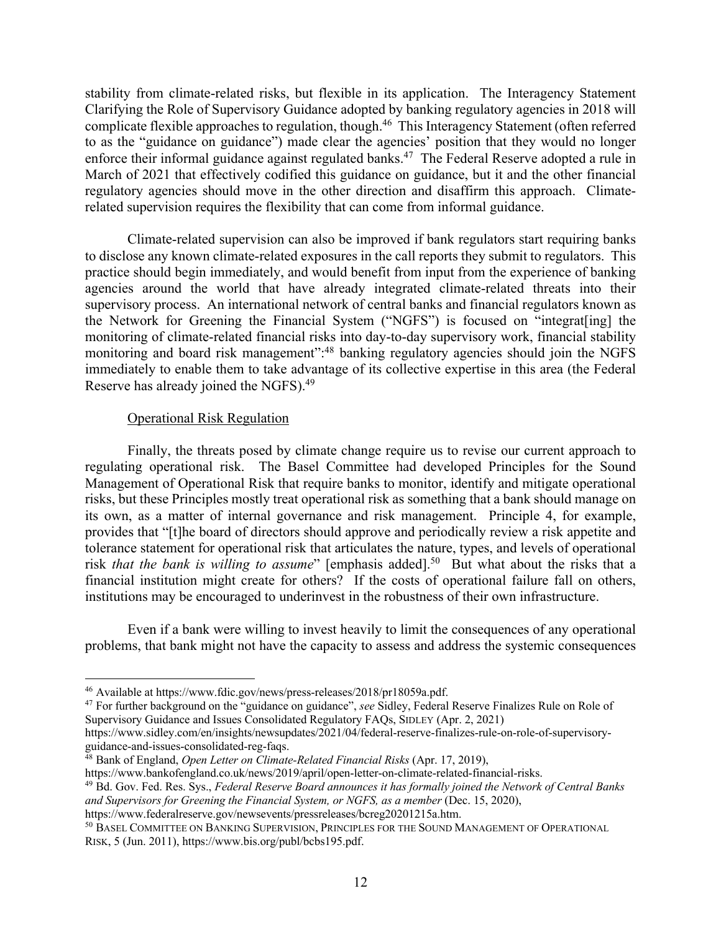stability from climate-related risks, but flexible in its application. The Interagency Statement Clarifying the Role of Supervisory Guidance adopted by banking regulatory agencies in 2018 will complicate flexible approaches to regulation, though.<sup>46</sup> This Interagency Statement (often referred to as the "guidance on guidance") made clear the agencies' position that they would no longer enforce their informal guidance against regulated banks.<sup>47</sup> The Federal Reserve adopted a rule in March of 2021 that effectively codified this guidance on guidance, but it and the other financial regulatory agencies should move in the other direction and disaffirm this approach. Climaterelated supervision requires the flexibility that can come from informal guidance.

Climate-related supervision can also be improved if bank regulators start requiring banks to disclose any known climate-related exposures in the call reports they submit to regulators. This practice should begin immediately, and would benefit from input from the experience of banking agencies around the world that have already integrated climate-related threats into their supervisory process. An international network of central banks and financial regulators known as the Network for Greening the Financial System ("NGFS") is focused on "integrat[ing] the monitoring of climate-related financial risks into day-to-day supervisory work, financial stability monitoring and board risk management":<sup>48</sup> banking regulatory agencies should join the NGFS immediately to enable them to take advantage of its collective expertise in this area (the Federal Reserve has already joined the NGFS).49

### Operational Risk Regulation

Finally, the threats posed by climate change require us to revise our current approach to regulating operational risk. The Basel Committee had developed Principles for the Sound Management of Operational Risk that require banks to monitor, identify and mitigate operational risks, but these Principles mostly treat operational risk as something that a bank should manage on its own, as a matter of internal governance and risk management. Principle 4, for example, provides that "[t]he board of directors should approve and periodically review a risk appetite and tolerance statement for operational risk that articulates the nature, types, and levels of operational risk *that the bank is willing to assume*" [emphasis added].<sup>50</sup> But what about the risks that a financial institution might create for others? If the costs of operational failure fall on others, institutions may be encouraged to underinvest in the robustness of their own infrastructure.

Even if a bank were willing to invest heavily to limit the consequences of any operational problems, that bank might not have the capacity to assess and address the systemic consequences

https://www.sidley.com/en/insights/newsupdates/2021/04/federal-reserve-finalizes-rule-on-role-of-supervisoryguidance-and-issues-consolidated-reg-faqs.

<sup>46</sup> Available at https://www.fdic.gov/news/press-releases/2018/pr18059a.pdf.

<sup>47</sup> For further background on the "guidance on guidance", *see* Sidley, Federal Reserve Finalizes Rule on Role of Supervisory Guidance and Issues Consolidated Regulatory FAQs, SIDLEY (Apr. 2, 2021)

<sup>48</sup> Bank of England, *Open Letter on Climate-Related Financial Risks* (Apr. 17, 2019),

https://www.bankofengland.co.uk/news/2019/april/open-letter-on-climate-related-financial-risks.

<sup>49</sup> Bd. Gov. Fed. Res. Sys., *Federal Reserve Board announces it has formally joined the Network of Central Banks and Supervisors for Greening the Financial System, or NGFS, as a member* (Dec. 15, 2020),

https://www.federalreserve.gov/newsevents/pressreleases/bcreg20201215a.htm.

<sup>50</sup> BASEL COMMITTEE ON BANKING SUPERVISION, PRINCIPLES FOR THE SOUND MANAGEMENT OF OPERATIONAL RISK, 5 (Jun. 2011), https://www.bis.org/publ/bcbs195.pdf.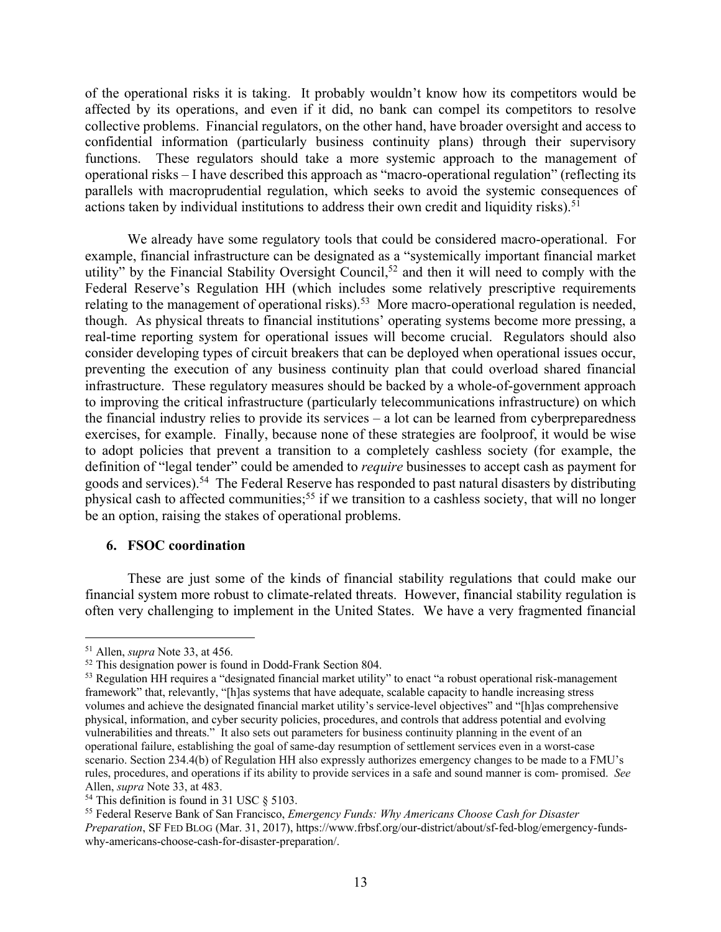of the operational risks it is taking. It probably wouldn't know how its competitors would be affected by its operations, and even if it did, no bank can compel its competitors to resolve collective problems. Financial regulators, on the other hand, have broader oversight and access to confidential information (particularly business continuity plans) through their supervisory functions. These regulators should take a more systemic approach to the management of operational risks – I have described this approach as "macro-operational regulation" (reflecting its parallels with macroprudential regulation, which seeks to avoid the systemic consequences of actions taken by individual institutions to address their own credit and liquidity risks). 51

We already have some regulatory tools that could be considered macro-operational. For example, financial infrastructure can be designated as a "systemically important financial market utility" by the Financial Stability Oversight Council,<sup>52</sup> and then it will need to comply with the Federal Reserve's Regulation HH (which includes some relatively prescriptive requirements relating to the management of operational risks).<sup>53</sup> More macro-operational regulation is needed, though. As physical threats to financial institutions' operating systems become more pressing, a real-time reporting system for operational issues will become crucial. Regulators should also consider developing types of circuit breakers that can be deployed when operational issues occur, preventing the execution of any business continuity plan that could overload shared financial infrastructure. These regulatory measures should be backed by a whole-of-government approach to improving the critical infrastructure (particularly telecommunications infrastructure) on which the financial industry relies to provide its services – a lot can be learned from cyberpreparedness exercises, for example. Finally, because none of these strategies are foolproof, it would be wise to adopt policies that prevent a transition to a completely cashless society (for example, the definition of "legal tender" could be amended to *require* businesses to accept cash as payment for goods and services).54 The Federal Reserve has responded to past natural disasters by distributing physical cash to affected communities;<sup>55</sup> if we transition to a cashless society, that will no longer be an option, raising the stakes of operational problems.

#### **6. FSOC coordination**

These are just some of the kinds of financial stability regulations that could make our financial system more robust to climate-related threats. However, financial stability regulation is often very challenging to implement in the United States. We have a very fragmented financial

<sup>51</sup> Allen, *supra* Note 33, at 456.

<sup>52</sup> This designation power is found in Dodd-Frank Section 804.

<sup>&</sup>lt;sup>53</sup> Regulation HH requires a "designated financial market utility" to enact "a robust operational risk-management framework" that, relevantly, "[h]as systems that have adequate, scalable capacity to handle increasing stress volumes and achieve the designated financial market utility's service-level objectives" and "[h]as comprehensive physical, information, and cyber security policies, procedures, and controls that address potential and evolving vulnerabilities and threats." It also sets out parameters for business continuity planning in the event of an operational failure, establishing the goal of same-day resumption of settlement services even in a worst-case scenario. Section 234.4(b) of Regulation HH also expressly authorizes emergency changes to be made to a FMU's rules, procedures, and operations if its ability to provide services in a safe and sound manner is com- promised. *See*  Allen, *supra* Note 33, at 483.

<sup>54</sup> This definition is found in 31 USC § 5103.

<sup>55</sup> Federal Reserve Bank of San Francisco, *Emergency Funds: Why Americans Choose Cash for Disaster Preparation*, SF FED BLOG (Mar. 31, 2017), https://www.frbsf.org/our-district/about/sf-fed-blog/emergency-fundswhy-americans-choose-cash-for-disaster-preparation/.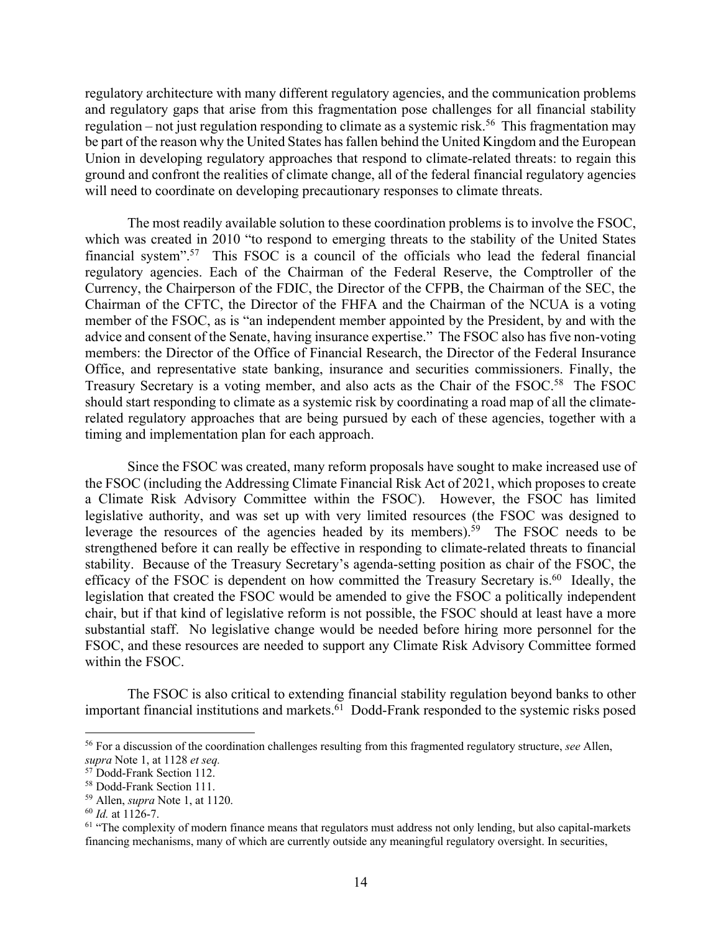regulatory architecture with many different regulatory agencies, and the communication problems and regulatory gaps that arise from this fragmentation pose challenges for all financial stability regulation – not just regulation responding to climate as a systemic risk.<sup>56</sup> This fragmentation may be part of the reason why the United States has fallen behind the United Kingdom and the European Union in developing regulatory approaches that respond to climate-related threats: to regain this ground and confront the realities of climate change, all of the federal financial regulatory agencies will need to coordinate on developing precautionary responses to climate threats.

The most readily available solution to these coordination problems is to involve the FSOC, which was created in 2010 "to respond to emerging threats to the stability of the United States financial system".<sup>57</sup> This FSOC is a council of the officials who lead the federal financial regulatory agencies. Each of the Chairman of the Federal Reserve, the Comptroller of the Currency, the Chairperson of the FDIC, the Director of the CFPB, the Chairman of the SEC, the Chairman of the CFTC, the Director of the FHFA and the Chairman of the NCUA is a voting member of the FSOC, as is "an independent member appointed by the President, by and with the advice and consent of the Senate, having insurance expertise." The FSOC also has five non-voting members: the Director of the Office of Financial Research, the Director of the Federal Insurance Office, and representative state banking, insurance and securities commissioners. Finally, the Treasury Secretary is a voting member, and also acts as the Chair of the FSOC.<sup>58</sup> The FSOC should start responding to climate as a systemic risk by coordinating a road map of all the climaterelated regulatory approaches that are being pursued by each of these agencies, together with a timing and implementation plan for each approach.

Since the FSOC was created, many reform proposals have sought to make increased use of the FSOC (including the Addressing Climate Financial Risk Act of 2021, which proposes to create a Climate Risk Advisory Committee within the FSOC). However, the FSOC has limited legislative authority, and was set up with very limited resources (the FSOC was designed to leverage the resources of the agencies headed by its members).<sup>59</sup> The FSOC needs to be strengthened before it can really be effective in responding to climate-related threats to financial stability. Because of the Treasury Secretary's agenda-setting position as chair of the FSOC, the efficacy of the FSOC is dependent on how committed the Treasury Secretary is.<sup>60</sup> Ideally, the legislation that created the FSOC would be amended to give the FSOC a politically independent chair, but if that kind of legislative reform is not possible, the FSOC should at least have a more substantial staff. No legislative change would be needed before hiring more personnel for the FSOC, and these resources are needed to support any Climate Risk Advisory Committee formed within the FSOC.

The FSOC is also critical to extending financial stability regulation beyond banks to other important financial institutions and markets.<sup>61</sup> Dodd-Frank responded to the systemic risks posed

<sup>56</sup> For a discussion of the coordination challenges resulting from this fragmented regulatory structure, *see* Allen, *supra* Note 1, at 1128 *et seq.*

<sup>57</sup> Dodd-Frank Section 112.

<sup>58</sup> Dodd-Frank Section 111.

<sup>59</sup> Allen, *supra* Note 1, at 1120.

<sup>60</sup> *Id.* at 1126-7.

<sup>&</sup>lt;sup>61</sup> "The complexity of modern finance means that regulators must address not only lending, but also capital-markets financing mechanisms, many of which are currently outside any meaningful regulatory oversight. In securities,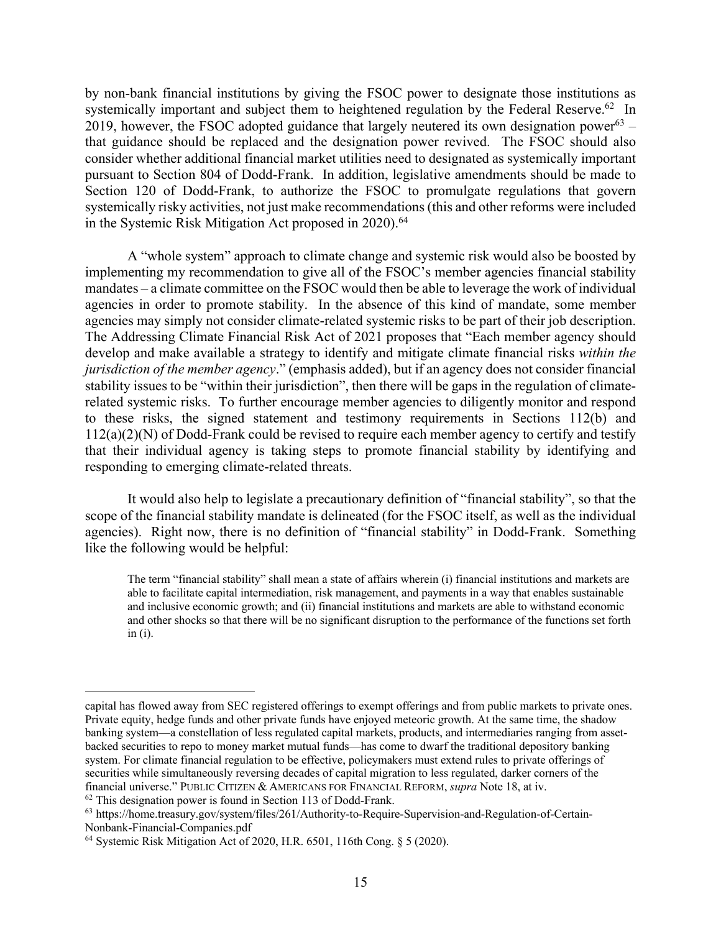by non-bank financial institutions by giving the FSOC power to designate those institutions as systemically important and subject them to heightened regulation by the Federal Reserve.<sup>62</sup> In 2019, however, the FSOC adopted guidance that largely neutered its own designation power<sup>63</sup> – that guidance should be replaced and the designation power revived. The FSOC should also consider whether additional financial market utilities need to designated as systemically important pursuant to Section 804 of Dodd-Frank. In addition, legislative amendments should be made to Section 120 of Dodd-Frank, to authorize the FSOC to promulgate regulations that govern systemically risky activities, not just make recommendations (this and other reforms were included in the Systemic Risk Mitigation Act proposed in 2020). 64

A "whole system" approach to climate change and systemic risk would also be boosted by implementing my recommendation to give all of the FSOC's member agencies financial stability mandates – a climate committee on the FSOC would then be able to leverage the work of individual agencies in order to promote stability. In the absence of this kind of mandate, some member agencies may simply not consider climate-related systemic risks to be part of their job description. The Addressing Climate Financial Risk Act of 2021 proposes that "Each member agency should develop and make available a strategy to identify and mitigate climate financial risks *within the jurisdiction of the member agency*." (emphasis added), but if an agency does not consider financial stability issues to be "within their jurisdiction", then there will be gaps in the regulation of climaterelated systemic risks. To further encourage member agencies to diligently monitor and respond to these risks, the signed statement and testimony requirements in Sections 112(b) and 112(a)(2)(N) of Dodd-Frank could be revised to require each member agency to certify and testify that their individual agency is taking steps to promote financial stability by identifying and responding to emerging climate-related threats.

It would also help to legislate a precautionary definition of "financial stability", so that the scope of the financial stability mandate is delineated (for the FSOC itself, as well as the individual agencies). Right now, there is no definition of "financial stability" in Dodd-Frank. Something like the following would be helpful:

The term "financial stability" shall mean a state of affairs wherein (i) financial institutions and markets are able to facilitate capital intermediation, risk management, and payments in a way that enables sustainable and inclusive economic growth; and (ii) financial institutions and markets are able to withstand economic and other shocks so that there will be no significant disruption to the performance of the functions set forth in (i).

capital has flowed away from SEC registered offerings to exempt offerings and from public markets to private ones. Private equity, hedge funds and other private funds have enjoyed meteoric growth. At the same time, the shadow banking system—a constellation of less regulated capital markets, products, and intermediaries ranging from assetbacked securities to repo to money market mutual funds—has come to dwarf the traditional depository banking system. For climate financial regulation to be effective, policymakers must extend rules to private offerings of securities while simultaneously reversing decades of capital migration to less regulated, darker corners of the financial universe." PUBLIC CITIZEN & AMERICANS FOR FINANCIAL REFORM, *supra* Note 18, at iv.

<sup>62</sup> This designation power is found in Section 113 of Dodd-Frank.

<sup>63</sup> https://home.treasury.gov/system/files/261/Authority-to-Require-Supervision-and-Regulation-of-Certain-Nonbank-Financial-Companies.pdf

<sup>64</sup> Systemic Risk Mitigation Act of 2020, H.R. 6501, 116th Cong. § 5 (2020).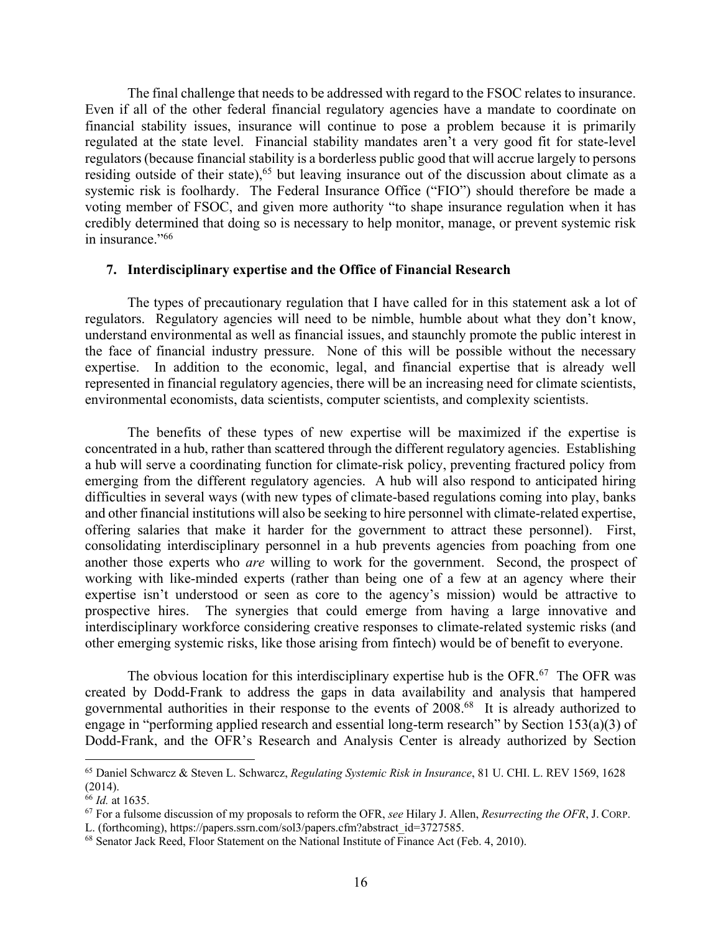The final challenge that needs to be addressed with regard to the FSOC relates to insurance. Even if all of the other federal financial regulatory agencies have a mandate to coordinate on financial stability issues, insurance will continue to pose a problem because it is primarily regulated at the state level. Financial stability mandates aren't a very good fit for state-level regulators (because financial stability is a borderless public good that will accrue largely to persons residing outside of their state),<sup>65</sup> but leaving insurance out of the discussion about climate as a systemic risk is foolhardy. The Federal Insurance Office ("FIO") should therefore be made a voting member of FSOC, and given more authority "to shape insurance regulation when it has credibly determined that doing so is necessary to help monitor, manage, or prevent systemic risk in insurance."<sup>66</sup>

#### **7. Interdisciplinary expertise and the Office of Financial Research**

The types of precautionary regulation that I have called for in this statement ask a lot of regulators. Regulatory agencies will need to be nimble, humble about what they don't know, understand environmental as well as financial issues, and staunchly promote the public interest in the face of financial industry pressure. None of this will be possible without the necessary expertise. In addition to the economic, legal, and financial expertise that is already well represented in financial regulatory agencies, there will be an increasing need for climate scientists, environmental economists, data scientists, computer scientists, and complexity scientists.

The benefits of these types of new expertise will be maximized if the expertise is concentrated in a hub, rather than scattered through the different regulatory agencies. Establishing a hub will serve a coordinating function for climate-risk policy, preventing fractured policy from emerging from the different regulatory agencies. A hub will also respond to anticipated hiring difficulties in several ways (with new types of climate-based regulations coming into play, banks and other financial institutions will also be seeking to hire personnel with climate-related expertise, offering salaries that make it harder for the government to attract these personnel). First, consolidating interdisciplinary personnel in a hub prevents agencies from poaching from one another those experts who *are* willing to work for the government. Second, the prospect of working with like-minded experts (rather than being one of a few at an agency where their expertise isn't understood or seen as core to the agency's mission) would be attractive to prospective hires. The synergies that could emerge from having a large innovative and interdisciplinary workforce considering creative responses to climate-related systemic risks (and other emerging systemic risks, like those arising from fintech) would be of benefit to everyone.

The obvious location for this interdisciplinary expertise hub is the OFR.<sup>67</sup> The OFR was created by Dodd-Frank to address the gaps in data availability and analysis that hampered governmental authorities in their response to the events of 2008. 68 It is already authorized to engage in "performing applied research and essential long-term research" by Section 153(a)(3) of Dodd-Frank, and the OFR's Research and Analysis Center is already authorized by Section

<sup>65</sup> Daniel Schwarcz & Steven L. Schwarcz, *Regulating Systemic Risk in Insurance*, 81 U. CHI. L. REV 1569, 1628 (2014).

<sup>66</sup> *Id.* at 1635.

<sup>67</sup> For a fulsome discussion of my proposals to reform the OFR, *see* Hilary J. Allen, *Resurrecting the OFR*, J. CORP. L. (forthcoming), https://papers.ssrn.com/sol3/papers.cfm?abstract\_id=3727585.

<sup>&</sup>lt;sup>68</sup> Senator Jack Reed, Floor Statement on the National Institute of Finance Act (Feb. 4, 2010).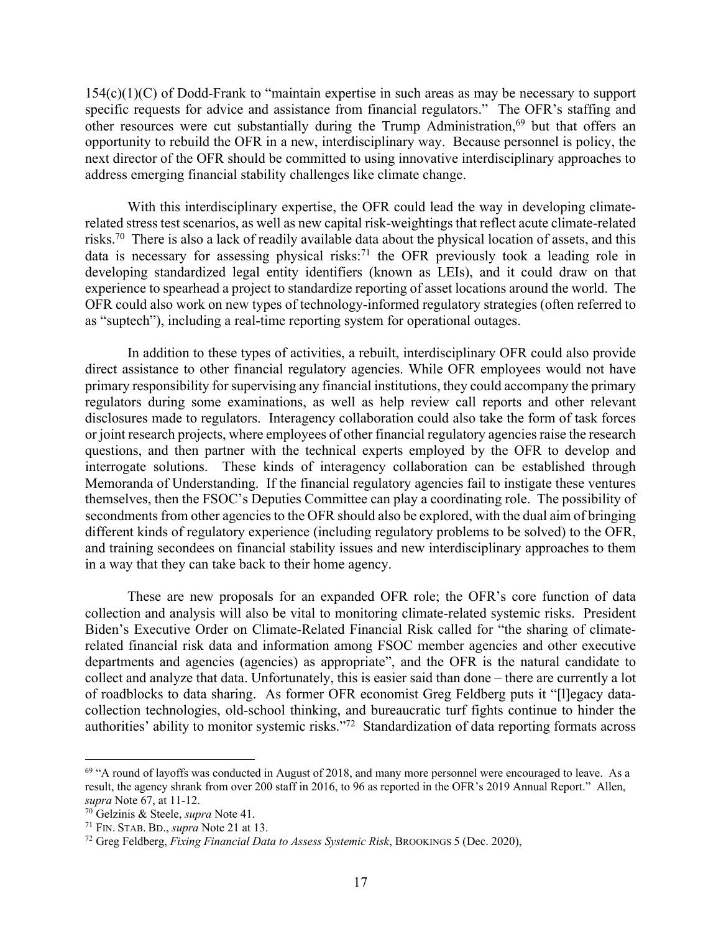154(c)(1)(C) of Dodd-Frank to "maintain expertise in such areas as may be necessary to support specific requests for advice and assistance from financial regulators." The OFR's staffing and other resources were cut substantially during the Trump Administration,<sup>69</sup> but that offers an opportunity to rebuild the OFR in a new, interdisciplinary way. Because personnel is policy, the next director of the OFR should be committed to using innovative interdisciplinary approaches to address emerging financial stability challenges like climate change.

With this interdisciplinary expertise, the OFR could lead the way in developing climaterelated stress test scenarios, as well as new capital risk-weightings that reflect acute climate-related risks.<sup>70</sup> There is also a lack of readily available data about the physical location of assets, and this data is necessary for assessing physical risks: <sup>71</sup> the OFR previously took a leading role in developing standardized legal entity identifiers (known as LEIs), and it could draw on that experience to spearhead a project to standardize reporting of asset locations around the world. The OFR could also work on new types of technology-informed regulatory strategies (often referred to as "suptech"), including a real-time reporting system for operational outages.

In addition to these types of activities, a rebuilt, interdisciplinary OFR could also provide direct assistance to other financial regulatory agencies. While OFR employees would not have primary responsibility for supervising any financial institutions, they could accompany the primary regulators during some examinations, as well as help review call reports and other relevant disclosures made to regulators. Interagency collaboration could also take the form of task forces or joint research projects, where employees of other financial regulatory agenciesraise the research questions, and then partner with the technical experts employed by the OFR to develop and interrogate solutions. These kinds of interagency collaboration can be established through Memoranda of Understanding. If the financial regulatory agencies fail to instigate these ventures themselves, then the FSOC's Deputies Committee can play a coordinating role. The possibility of secondments from other agencies to the OFR should also be explored, with the dual aim of bringing different kinds of regulatory experience (including regulatory problems to be solved) to the OFR, and training secondees on financial stability issues and new interdisciplinary approaches to them in a way that they can take back to their home agency.

These are new proposals for an expanded OFR role; the OFR's core function of data collection and analysis will also be vital to monitoring climate-related systemic risks. President Biden's Executive Order on Climate-Related Financial Risk called for "the sharing of climaterelated financial risk data and information among FSOC member agencies and other executive departments and agencies (agencies) as appropriate", and the OFR is the natural candidate to collect and analyze that data. Unfortunately, this is easier said than done – there are currently a lot of roadblocks to data sharing. As former OFR economist Greg Feldberg puts it "[l]egacy datacollection technologies, old-school thinking, and bureaucratic turf fights continue to hinder the authorities' ability to monitor systemic risks."72 Standardization of data reporting formats across

<sup>&</sup>lt;sup>69</sup> "A round of layoffs was conducted in August of 2018, and many more personnel were encouraged to leave. As a result, the agency shrank from over 200 staff in 2016, to 96 as reported in the OFR's 2019 Annual Report." Allen, *supra* Note 67, at 11-12.

<sup>70</sup> Gelzinis & Steele, *supra* Note 41.

<sup>71</sup> FIN. STAB. BD., *supra* Note 21 at 13.

<sup>72</sup> Greg Feldberg, *Fixing Financial Data to Assess Systemic Risk*, BROOKINGS 5 (Dec. 2020),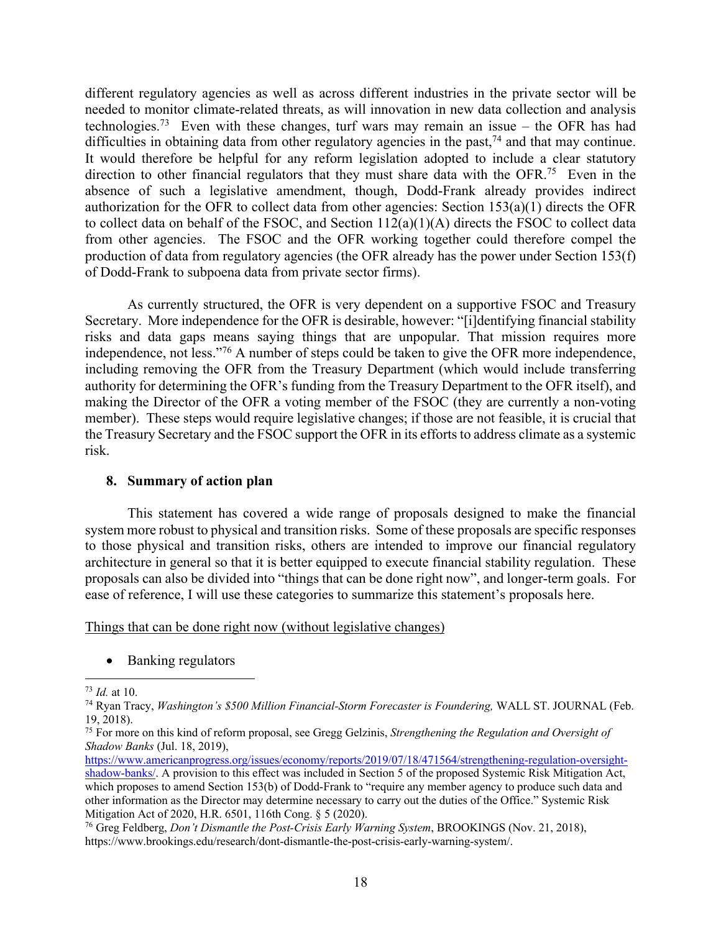different regulatory agencies as well as across different industries in the private sector will be needed to monitor climate-related threats, as will innovation in new data collection and analysis technologies.<sup>73</sup> Even with these changes, turf wars may remain an issue – the OFR has had difficulties in obtaining data from other regulatory agencies in the past,  $74$  and that may continue. It would therefore be helpful for any reform legislation adopted to include a clear statutory direction to other financial regulators that they must share data with the OFR.<sup>75</sup> Even in the absence of such a legislative amendment, though, Dodd-Frank already provides indirect authorization for the OFR to collect data from other agencies: Section 153(a)(1) directs the OFR to collect data on behalf of the FSOC, and Section 112(a)(1)(A) directs the FSOC to collect data from other agencies. The FSOC and the OFR working together could therefore compel the production of data from regulatory agencies (the OFR already has the power under Section 153(f) of Dodd-Frank to subpoena data from private sector firms).

As currently structured, the OFR is very dependent on a supportive FSOC and Treasury Secretary. More independence for the OFR is desirable, however: "[i]dentifying financial stability risks and data gaps means saying things that are unpopular. That mission requires more independence, not less."76 A number of steps could be taken to give the OFR more independence, including removing the OFR from the Treasury Department (which would include transferring authority for determining the OFR's funding from the Treasury Department to the OFR itself), and making the Director of the OFR a voting member of the FSOC (they are currently a non-voting member). These steps would require legislative changes; if those are not feasible, it is crucial that the Treasury Secretary and the FSOC support the OFR in its efforts to address climate as a systemic risk.

#### **8. Summary of action plan**

This statement has covered a wide range of proposals designed to make the financial system more robust to physical and transition risks. Some of these proposals are specific responses to those physical and transition risks, others are intended to improve our financial regulatory architecture in general so that it is better equipped to execute financial stability regulation. These proposals can also be divided into "things that can be done right now", and longer-term goals. For ease of reference, I will use these categories to summarize this statement's proposals here.

Things that can be done right now (without legislative changes)

• Banking regulators

<sup>&</sup>lt;sup>73</sup> *Id.* at 10.<br><sup>74</sup> Ryan Tracy, *Washington's \$500 Million Financial-Storm Forecaster is Foundering, WALL ST. JOURNAL (Feb.* 19, 2018).

<sup>75</sup> For more on this kind of reform proposal, see Gregg Gelzinis, *Strengthening the Regulation and Oversight of Shadow Banks* (Jul. 18, 2019),

https://www.americanprogress.org/issues/economy/reports/2019/07/18/471564/strengthening-regulation-oversightshadow-banks/. A provision to this effect was included in Section 5 of the proposed Systemic Risk Mitigation Act, which proposes to amend Section 153(b) of Dodd-Frank to "require any member agency to produce such data and other information as the Director may determine necessary to carry out the duties of the Office." Systemic Risk Mitigation Act of 2020, H.R. 6501, 116th Cong. § 5 (2020).

<sup>76</sup> Greg Feldberg, *Don't Dismantle the Post-Crisis Early Warning System*, BROOKINGS (Nov. 21, 2018), https://www.brookings.edu/research/dont-dismantle-the-post-crisis-early-warning-system/.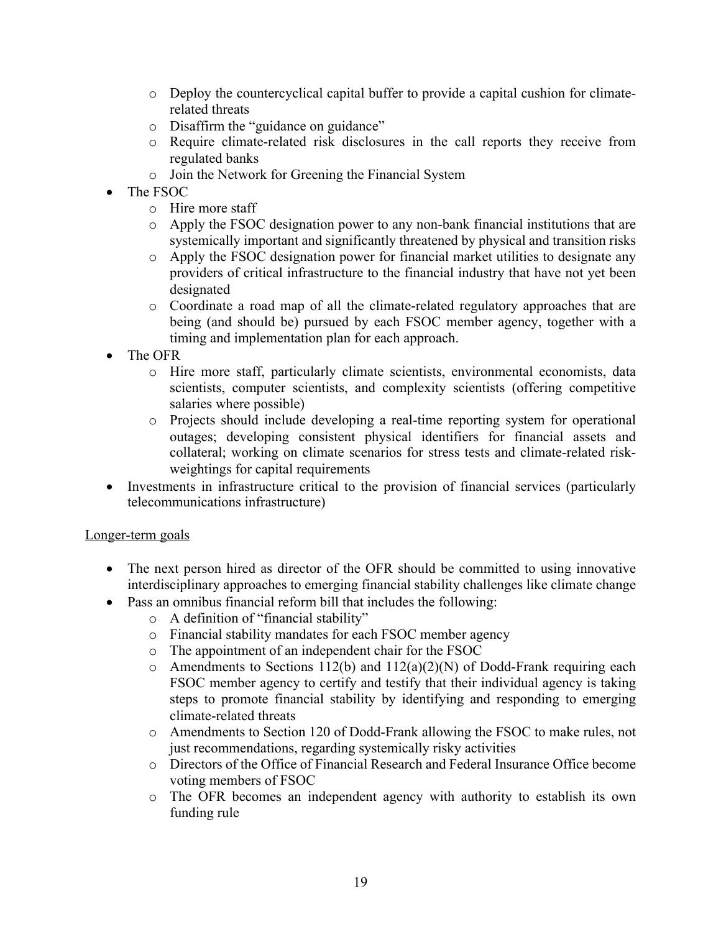- o Deploy the countercyclical capital buffer to provide a capital cushion for climaterelated threats
- o Disaffirm the "guidance on guidance"
- o Require climate-related risk disclosures in the call reports they receive from regulated banks
- o Join the Network for Greening the Financial System
- The FSOC
	- o Hire more staff
	- o Apply the FSOC designation power to any non-bank financial institutions that are systemically important and significantly threatened by physical and transition risks
	- o Apply the FSOC designation power for financial market utilities to designate any providers of critical infrastructure to the financial industry that have not yet been designated
	- o Coordinate a road map of all the climate-related regulatory approaches that are being (and should be) pursued by each FSOC member agency, together with a timing and implementation plan for each approach.
- The OFR
	- o Hire more staff, particularly climate scientists, environmental economists, data scientists, computer scientists, and complexity scientists (offering competitive salaries where possible)
	- o Projects should include developing a real-time reporting system for operational outages; developing consistent physical identifiers for financial assets and collateral; working on climate scenarios for stress tests and climate-related riskweightings for capital requirements
- Investments in infrastructure critical to the provision of financial services (particularly telecommunications infrastructure)

# Longer-term goals

- The next person hired as director of the OFR should be committed to using innovative interdisciplinary approaches to emerging financial stability challenges like climate change
- Pass an omnibus financial reform bill that includes the following:
	- o A definition of "financial stability"
	- o Financial stability mandates for each FSOC member agency
	- o The appointment of an independent chair for the FSOC
	- $\circ$  Amendments to Sections 112(b) and 112(a)(2)(N) of Dodd-Frank requiring each FSOC member agency to certify and testify that their individual agency is taking steps to promote financial stability by identifying and responding to emerging climate-related threats
	- o Amendments to Section 120 of Dodd-Frank allowing the FSOC to make rules, not just recommendations, regarding systemically risky activities
	- o Directors of the Office of Financial Research and Federal Insurance Office become voting members of FSOC
	- o The OFR becomes an independent agency with authority to establish its own funding rule